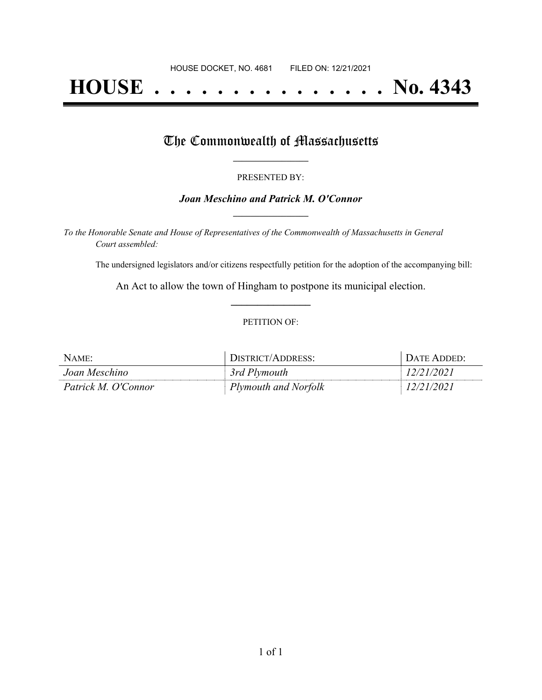# **HOUSE . . . . . . . . . . . . . . . No. 4343**

### The Commonwealth of Massachusetts

#### PRESENTED BY:

#### *Joan Meschino and Patrick M. O'Connor* **\_\_\_\_\_\_\_\_\_\_\_\_\_\_\_\_\_**

*To the Honorable Senate and House of Representatives of the Commonwealth of Massachusetts in General Court assembled:*

The undersigned legislators and/or citizens respectfully petition for the adoption of the accompanying bill:

An Act to allow the town of Hingham to postpone its municipal election. **\_\_\_\_\_\_\_\_\_\_\_\_\_\_\_**

#### PETITION OF:

| NAME:               | DISTRICT/ADDRESS:    | DATE ADDED: |
|---------------------|----------------------|-------------|
| Joan Meschino       | 3rd Plymouth         | 12/21/2021  |
| Patrick M. O'Connor | Plymouth and Norfolk | 12/21/2021  |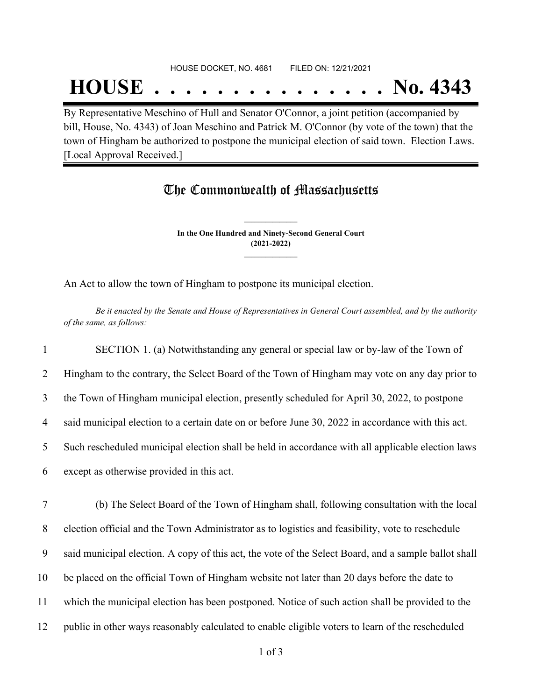## HOUSE DOCKET, NO. 4681 FILED ON: 12/21/2021

# **HOUSE . . . . . . . . . . . . . . . No. 4343**

By Representative Meschino of Hull and Senator O'Connor, a joint petition (accompanied by bill, House, No. 4343) of Joan Meschino and Patrick M. O'Connor (by vote of the town) that the town of Hingham be authorized to postpone the municipal election of said town. Election Laws. [Local Approval Received.]

### The Commonwealth of Massachusetts

**In the One Hundred and Ninety-Second General Court (2021-2022) \_\_\_\_\_\_\_\_\_\_\_\_\_\_\_**

**\_\_\_\_\_\_\_\_\_\_\_\_\_\_\_**

An Act to allow the town of Hingham to postpone its municipal election.

Be it enacted by the Senate and House of Representatives in General Court assembled, and by the authority *of the same, as follows:*

 SECTION 1. (a) Notwithstanding any general or special law or by-law of the Town of Hingham to the contrary, the Select Board of the Town of Hingham may vote on any day prior to the Town of Hingham municipal election, presently scheduled for April 30, 2022, to postpone said municipal election to a certain date on or before June 30, 2022 in accordance with this act. Such rescheduled municipal election shall be held in accordance with all applicable election laws except as otherwise provided in this act. (b) The Select Board of the Town of Hingham shall, following consultation with the local

8 election official and the Town Administrator as to logistics and feasibility, vote to reschedule

9 said municipal election. A copy of this act, the vote of the Select Board, and a sample ballot shall

- 10 be placed on the official Town of Hingham website not later than 20 days before the date to
- 11 which the municipal election has been postponed. Notice of such action shall be provided to the
- 12 public in other ways reasonably calculated to enable eligible voters to learn of the rescheduled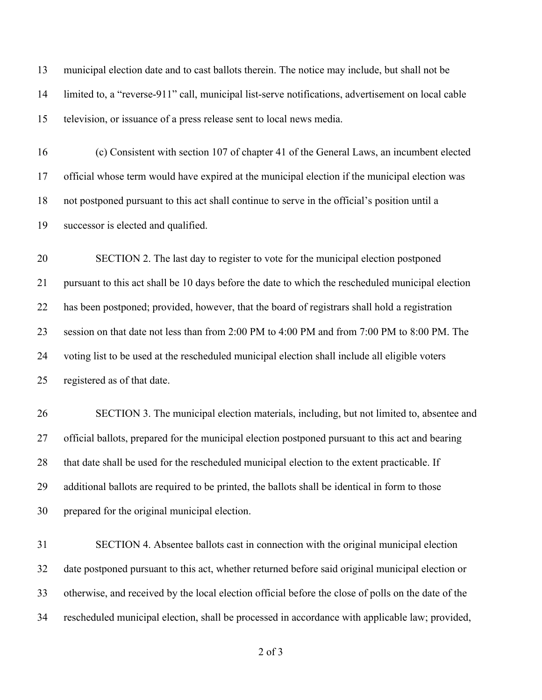municipal election date and to cast ballots therein. The notice may include, but shall not be limited to, a "reverse-911" call, municipal list-serve notifications, advertisement on local cable television, or issuance of a press release sent to local news media.

 (c) Consistent with section 107 of chapter 41 of the General Laws, an incumbent elected official whose term would have expired at the municipal election if the municipal election was not postponed pursuant to this act shall continue to serve in the official's position until a successor is elected and qualified.

 SECTION 2. The last day to register to vote for the municipal election postponed pursuant to this act shall be 10 days before the date to which the rescheduled municipal election has been postponed; provided, however, that the board of registrars shall hold a registration session on that date not less than from 2:00 PM to 4:00 PM and from 7:00 PM to 8:00 PM. The voting list to be used at the rescheduled municipal election shall include all eligible voters registered as of that date.

 SECTION 3. The municipal election materials, including, but not limited to, absentee and official ballots, prepared for the municipal election postponed pursuant to this act and bearing that date shall be used for the rescheduled municipal election to the extent practicable. If additional ballots are required to be printed, the ballots shall be identical in form to those prepared for the original municipal election.

 SECTION 4. Absentee ballots cast in connection with the original municipal election date postponed pursuant to this act, whether returned before said original municipal election or otherwise, and received by the local election official before the close of polls on the date of the rescheduled municipal election, shall be processed in accordance with applicable law; provided,

of 3